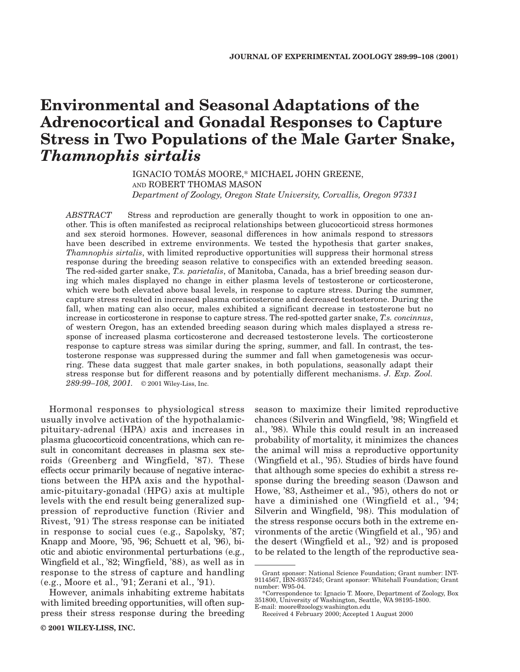# **Environmental and Seasonal Adaptations of the Adrenocortical and Gonadal Responses to Capture Stress in Two Populations of the Male Garter Snake,** *Thamnophis sirtalis*

IGNACIO TOMÁS MOORE,\* MICHAEL JOHN GREENE, AND ROBERT THOMAS MASON *Department of Zoology, Oregon State University, Corvallis, Oregon 97331*

*ABSTRACT* Stress and reproduction are generally thought to work in opposition to one another. This is often manifested as reciprocal relationships between glucocorticoid stress hormones and sex steroid hormones. However, seasonal differences in how animals respond to stressors have been described in extreme environments. We tested the hypothesis that garter snakes, *Thamnophis sirtalis*, with limited reproductive opportunities will suppress their hormonal stress response during the breeding season relative to conspecifics with an extended breeding season. The red-sided garter snake, *T.s. parietalis*, of Manitoba, Canada, has a brief breeding season during which males displayed no change in either plasma levels of testosterone or corticosterone, which were both elevated above basal levels, in response to capture stress. During the summer, capture stress resulted in increased plasma corticosterone and decreased testosterone. During the fall, when mating can also occur, males exhibited a significant decrease in testosterone but no increase in corticosterone in response to capture stress. The red-spotted garter snake, *T.s. concinnus*, of western Oregon, has an extended breeding season during which males displayed a stress response of increased plasma corticosterone and decreased testosterone levels. The corticosterone response to capture stress was similar during the spring, summer, and fall. In contrast, the testosterone response was suppressed during the summer and fall when gametogenesis was occurring. These data suggest that male garter snakes, in both populations, seasonally adapt their stress response but for different reasons and by potentially different mechanisms. *J. Exp. Zool. 289:99–108, 2001.* © 2001 Wiley-Liss, Inc.

Hormonal responses to physiological stress usually involve activation of the hypothalamicpituitary-adrenal (HPA) axis and increases in plasma glucocorticoid concentrations, which can result in concomitant decreases in plasma sex steroids (Greenberg and Wingfield, '87). These effects occur primarily because of negative interactions between the HPA axis and the hypothalamic-pituitary-gonadal (HPG) axis at multiple levels with the end result being generalized suppression of reproductive function (Rivier and Rivest, '91) The stress response can be initiated in response to social cues (e.g., Sapolsky, '87; Knapp and Moore, '95, '96; Schuett et al, '96), biotic and abiotic environmental perturbations (e.g., Wingfield et al., '82; Wingfield, '88), as well as in response to the stress of capture and handling (e.g., Moore et al., '91; Zerani et al., '91).

However, animals inhabiting extreme habitats with limited breeding opportunities, will often suppress their stress response during the breeding season to maximize their limited reproductive chances (Silverin and Wingfield, '98; Wingfield et al., '98). While this could result in an increased probability of mortality, it minimizes the chances the animal will miss a reproductive opportunity (Wingfield et al., '95). Studies of birds have found that although some species do exhibit a stress response during the breeding season (Dawson and Howe, '83, Astheimer et al., '95), others do not or have a diminished one (Wingfield et al., '94; Silverin and Wingfield, '98). This modulation of the stress response occurs both in the extreme environments of the arctic (Wingfield et al., '95) and the desert (Wingfield et al., '92) and is proposed to be related to the length of the reproductive sea-

Grant sponsor: National Science Foundation; Grant number: INT-9114567, IBN-9357245; Grant sponsor: Whitehall Foundation; Grant number: W95-04.

<sup>\*</sup>Correspondence to: Ignacio T. Moore, Department of Zoology, Box 351800, University of Washington, Seattle, WA 98195-1800. E-mail: moore@zoology.washington.edu

Received 4 February 2000; Accepted 1 August 2000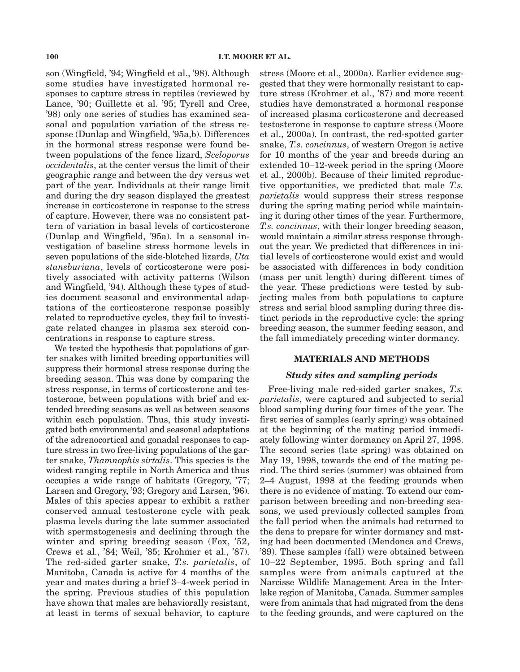son (Wingfield, '94; Wingfield et al., '98). Although some studies have investigated hormonal responses to capture stress in reptiles (reviewed by Lance, '90; Guillette et al. '95; Tyrell and Cree, '98) only one series of studies has examined seasonal and population variation of the stress response (Dunlap and Wingfield, '95a,b). Differences in the hormonal stress response were found between populations of the fence lizard, *Sceloporus occidentalis*, at the center versus the limit of their geographic range and between the dry versus wet part of the year. Individuals at their range limit and during the dry season displayed the greatest increase in corticosterone in response to the stress of capture. However, there was no consistent pattern of variation in basal levels of corticosterone (Dunlap and Wingfield, '95a). In a seasonal investigation of baseline stress hormone levels in seven populations of the side-blotched lizards, *Uta stansburiana*, levels of corticosterone were positively associated with activity patterns (Wilson and Wingfield, '94). Although these types of studies document seasonal and environmental adaptations of the corticosterone response possibly related to reproductive cycles, they fail to investigate related changes in plasma sex steroid concentrations in response to capture stress.

We tested the hypothesis that populations of garter snakes with limited breeding opportunities will suppress their hormonal stress response during the breeding season. This was done by comparing the stress response, in terms of corticosterone and testosterone, between populations with brief and extended breeding seasons as well as between seasons within each population. Thus, this study investigated both environmental and seasonal adaptations of the adrenocortical and gonadal responses to capture stress in two free-living populations of the garter snake, *Thamnophis sirtalis*. This species is the widest ranging reptile in North America and thus occupies a wide range of habitats (Gregory, '77; Larsen and Gregory, '93; Gregory and Larsen, '96). Males of this species appear to exhibit a rather conserved annual testosterone cycle with peak plasma levels during the late summer associated with spermatogenesis and declining through the winter and spring breeding season (Fox, '52, Crews et al., '84; Weil, '85; Krohmer et al., '87). The red-sided garter snake, *T.s. parietalis*, of Manitoba, Canada is active for 4 months of the year and mates during a brief 3–4-week period in the spring. Previous studies of this population have shown that males are behaviorally resistant, at least in terms of sexual behavior, to capture

stress (Moore et al., 2000a). Earlier evidence suggested that they were hormonally resistant to capture stress (Krohmer et al., '87) and more recent studies have demonstrated a hormonal response of increased plasma corticosterone and decreased testosterone in response to capture stress (Moore et al., 2000a). In contrast, the red-spotted garter snake, *T.s. concinnus*, of western Oregon is active for 10 months of the year and breeds during an extended 10–12-week period in the spring (Moore et al., 2000b). Because of their limited reproductive opportunities, we predicted that male *T.s. parietalis* would suppress their stress response during the spring mating period while maintaining it during other times of the year. Furthermore, *T.s. concinnus*, with their longer breeding season, would maintain a similar stress response throughout the year. We predicted that differences in initial levels of corticosterone would exist and would be associated with differences in body condition (mass per unit length) during different times of the year. These predictions were tested by subjecting males from both populations to capture stress and serial blood sampling during three distinct periods in the reproductive cycle: the spring breeding season, the summer feeding season, and the fall immediately preceding winter dormancy.

## **MATERIALS AND METHODS**

### *Study sites and sampling periods*

Free-living male red-sided garter snakes, *T.s. parietalis*, were captured and subjected to serial blood sampling during four times of the year. The first series of samples (early spring) was obtained at the beginning of the mating period immediately following winter dormancy on April 27, 1998. The second series (late spring) was obtained on May 19, 1998, towards the end of the mating period. The third series (summer) was obtained from 2–4 August, 1998 at the feeding grounds when there is no evidence of mating. To extend our comparison between breeding and non-breeding seasons, we used previously collected samples from the fall period when the animals had returned to the dens to prepare for winter dormancy and mating had been documented (Mendonca and Crews, '89). These samples (fall) were obtained between 10–22 September, 1995. Both spring and fall samples were from animals captured at the Narcisse Wildlife Management Area in the Interlake region of Manitoba, Canada. Summer samples were from animals that had migrated from the dens to the feeding grounds, and were captured on the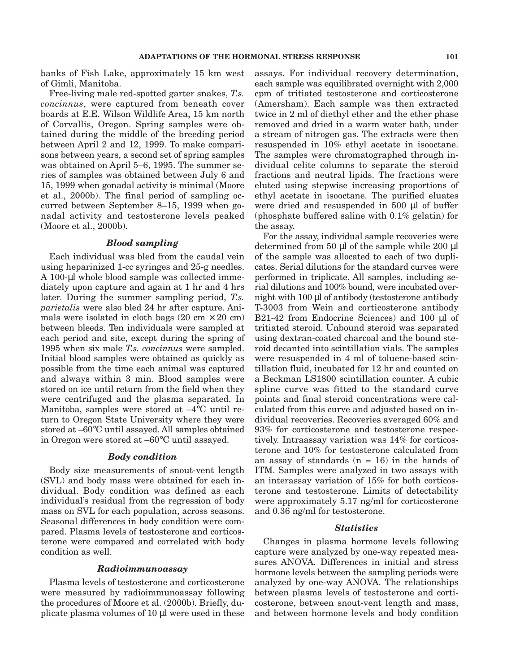banks of Fish Lake, approximately 15 km west of Gimli, Manitoba.

Free-living male red-spotted garter snakes, *T.s. concinnus*, were captured from beneath cover boards at E.E. Wilson Wildlife Area, 15 km north of Corvallis, Oregon. Spring samples were obtained during the middle of the breeding period between April 2 and 12, 1999. To make comparisons between years, a second set of spring samples was obtained on April 5–6, 1995. The summer series of samples was obtained between July 6 and 15, 1999 when gonadal activity is minimal (Moore et al., 2000b). The final period of sampling occurred between September 8–15, 1999 when gonadal activity and testosterone levels peaked (Moore et al., 2000b).

### *Blood sampling*

Each individual was bled from the caudal vein using heparinized 1-cc syringes and 25-g needles. A 100-µl whole blood sample was collected immediately upon capture and again at 1 hr and 4 hrs later. During the summer sampling period, *T.s. parietalis* were also bled 24 hr after capture. Animals were isolated in cloth bags  $(20 \text{ cm} \times 20 \text{ cm})$ between bleeds. Ten individuals were sampled at each period and site, except during the spring of 1995 when six male *T.s. concinnus* were sampled. Initial blood samples were obtained as quickly as possible from the time each animal was captured and always within 3 min. Blood samples were stored on ice until return from the field when they were centrifuged and the plasma separated. In Manitoba, samples were stored at –4°C until return to Oregon State University where they were stored at –60°C until assayed. All samples obtained in Oregon were stored at –60°C until assayed.

## *Body condition*

Body size measurements of snout-vent length (SVL) and body mass were obtained for each individual. Body condition was defined as each individual's residual from the regression of body mass on SVL for each population, across seasons. Seasonal differences in body condition were compared. Plasma levels of testosterone and corticosterone were compared and correlated with body condition as well.

#### *Radioimmunoassay*

Plasma levels of testosterone and corticosterone were measured by radioimmunoassay following the procedures of Moore et al. (2000b). Briefly, duplicate plasma volumes of 10 µl were used in these

assays. For individual recovery determination, each sample was equilibrated overnight with 2,000 cpm of tritiated testosterone and corticosterone (Amersham). Each sample was then extracted twice in 2 ml of diethyl ether and the ether phase removed and dried in a warm water bath, under a stream of nitrogen gas. The extracts were then resuspended in 10% ethyl acetate in isooctane. The samples were chromatographed through individual celite columns to separate the steroid fractions and neutral lipids. The fractions were eluted using stepwise increasing proportions of ethyl acetate in isooctane. The purified eluates were dried and resuspended in 500 µl of buffer (phosphate buffered saline with 0.1% gelatin) for the assay.

For the assay, individual sample recoveries were determined from 50 µl of the sample while 200 µl of the sample was allocated to each of two duplicates. Serial dilutions for the standard curves were performed in triplicate. All samples, including serial dilutions and 100% bound, were incubated overnight with 100 µ of antibody (testosterone antibody T-3003 from Wein and corticosterone antibody B21-42 from Endocrine Sciences) and 100 µl of tritiated steroid. Unbound steroid was separated using dextran-coated charcoal and the bound steroid decanted into scintillation vials. The samples were resuspended in 4 ml of toluene-based scintillation fluid, incubated for 12 hr and counted on a Beckman LS1800 scintillation counter. A cubic spline curve was fitted to the standard curve points and final steroid concentrations were calculated from this curve and adjusted based on individual recoveries. Recoveries averaged 60% and 93% for corticosterone and testosterone respectively. Intraassay variation was 14% for corticosterone and 10% for testosterone calculated from an assay of standards  $(n = 16)$  in the hands of ITM. Samples were analyzed in two assays with an interassay variation of 15% for both corticosterone and testosterone. Limits of detectability were approximately 5.17 ng/ml for corticosterone and 0.36 ng/ml for testosterone.

#### *Statistics*

Changes in plasma hormone levels following capture were analyzed by one-way repeated measures ANOVA. Differences in initial and stress hormone levels between the sampling periods were analyzed by one-way ANOVA. The relationships between plasma levels of testosterone and corticosterone, between snout-vent length and mass, and between hormone levels and body condition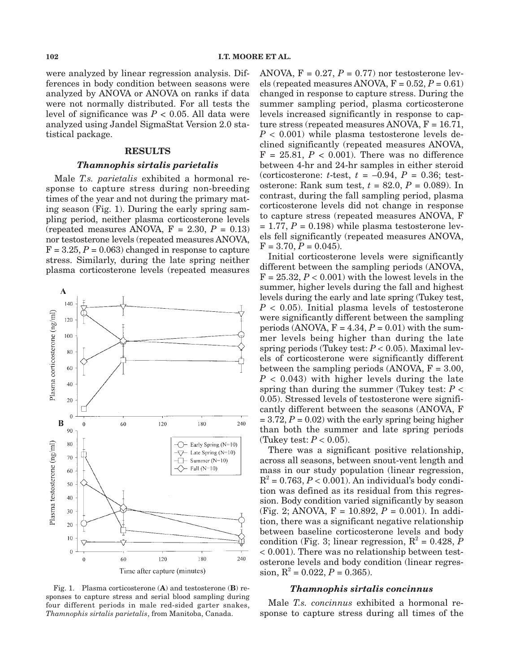were analyzed by linear regression analysis. Differences in body condition between seasons were analyzed by ANOVA or ANOVA on ranks if data were not normally distributed. For all tests the level of significance was  $P < 0.05$ . All data were analyzed using Jandel SigmaStat Version 2.0 statistical package.

## **RESULTS**

#### *Thamnophis sirtalis parietalis*

Male *T.s. parietalis* exhibited a hormonal response to capture stress during non-breeding times of the year and not during the primary mating season (Fig. 1). During the early spring sampling period, neither plasma corticosterone levels (repeated measures ANOVA,  $F = 2.30$ ,  $P = 0.13$ ) nor testosterone levels (repeated measures ANOVA,  $F = 3.25, P = 0.063$  changed in response to capture stress. Similarly, during the late spring neither plasma corticosterone levels (repeated measures



Fig. 1. Plasma corticosterone (**A**) and testosterone (**B**) responses to capture stress and serial blood sampling during four different periods in male red-sided garter snakes, *Thamnophis sirtalis parietalis*, from Manitoba, Canada.

ANOVA,  $F = 0.27$ ,  $P = 0.77$  nor testosterone levels (repeated measures ANOVA,  $F = 0.52$ ,  $P = 0.61$ ) changed in response to capture stress. During the summer sampling period, plasma corticosterone levels increased significantly in response to capture stress (repeated measures ANOVA,  $F = 16.71$ , *P <* 0.001) while plasma testosterone levels declined significantly (repeated measures ANOVA,  $F = 25.81, P < 0.001$ . There was no difference between 4-hr and 24-hr samples in either steroid (corticosterone: *t*-test,  $t = -0.94$ ,  $P = 0.36$ ; testosterone: Rank sum test, *t* = 82.0, *P* = 0.089). In contrast, during the fall sampling period, plasma corticosterone levels did not change in response to capture stress (repeated measures ANOVA, F  $= 1.77, P = 0.198$  while plasma testosterone levels fell significantly (repeated measures ANOVA,  $F = 3.70, P = 0.045.$ 

Initial corticosterone levels were significantly different between the sampling periods (ANOVA,  $F = 25.32, P < 0.001$  with the lowest levels in the summer, higher levels during the fall and highest levels during the early and late spring (Tukey test, *P <* 0.05). Initial plasma levels of testosterone were significantly different between the sampling periods (ANOVA,  $F = 4.34$ ,  $P = 0.01$ ) with the summer levels being higher than during the late spring periods (Tukey test: *P <* 0.05). Maximal levels of corticosterone were significantly different between the sampling periods  $(ANOVA, F = 3.00,$ *P <* 0.043) with higher levels during the late spring than during the summer (Tukey test: *P <* 0.05). Stressed levels of testosterone were significantly different between the seasons (ANOVA, F  $= 3.72, P = 0.02$ ) with the early spring being higher than both the summer and late spring periods (Tukey test: *P <* 0.05).

There was a significant positive relationship, across all seasons, between snout-vent length and mass in our study population (linear regression,  $R^2$  = 0.763,  $P < 0.001$ ). An individual's body condition was defined as its residual from this regression. Body condition varied significantly by season (Fig. 2; ANOVA, F = 10.892, *P* = 0.001). In addition, there was a significant negative relationship between baseline corticosterone levels and body condition (Fig. 3; linear regression,  $R^2 = 0.428$ , *P <* 0.001). There was no relationship between testosterone levels and body condition (linear regression,  $R^2 = 0.022$ ,  $P = 0.365$ ).

#### *Thamnophis sirtalis concinnus*

Male *T.s. concinnus* exhibited a hormonal response to capture stress during all times of the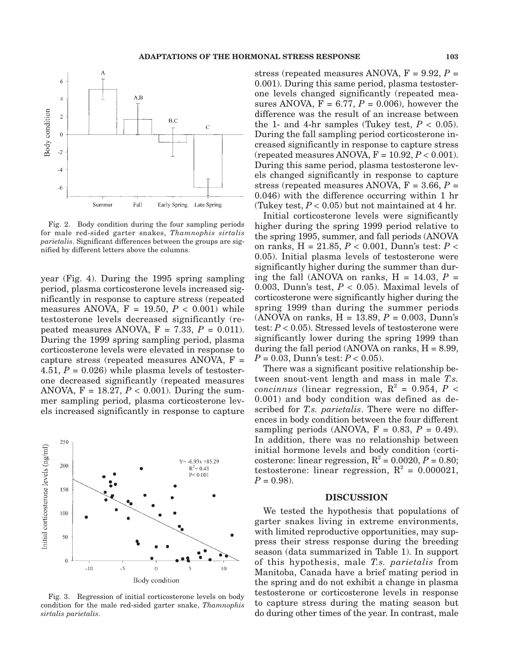

Fig. 2. Body condition during the four sampling periods for male red-sided garter snakes, *Thamnophis sirtalis parietalis*. Significant differences between the groups are signified by different letters above the columns.

year (Fig. 4). During the 1995 spring sampling period, plasma corticosterone levels increased significantly in response to capture stress (repeated measures ANOVA, F = 19.50, *P <* 0.001) while testosterone levels decreased significantly (repeated measures ANOVA,  $F = 7.33, P = 0.011$ . During the 1999 spring sampling period, plasma corticosterone levels were elevated in response to capture stress (repeated measures ANOVA,  $F =$ 4.51,  $P = 0.026$ ) while plasma levels of testosterone decreased significantly (repeated measures ANOVA, F = 18.27, *P <* 0.001). During the summer sampling period, plasma corticosterone levels increased significantly in response to capture



Fig. 3. Regression of initial corticosterone levels on body condition for the male red-sided garter snake, *Thamnophis sirtalis parietalis*.

stress (repeated measures ANOVA, F = 9.92, *P* = 0.001). During this same period, plasma testosterone levels changed significantly (repeated measures ANOVA,  $F = 6.77$ ,  $P = 0.006$ ), however the difference was the result of an increase between the 1- and 4-hr samples (Tukey test,  $P < 0.05$ ). During the fall sampling period corticosterone increased significantly in response to capture stress (repeated measures ANOVA, F = 10.92, *P <* 0.001). During this same period, plasma testosterone levels changed significantly in response to capture stress (repeated measures ANOVA, F = 3.66, *P* = 0.046) with the difference occurring within 1 hr (Tukey test,  $P < 0.05$ ) but not maintained at 4 hr.

Initial corticosterone levels were significantly higher during the spring 1999 period relative to the spring 1995, summer, and fall periods (ANOVA on ranks, H = 21.85, *P <* 0.001, Dunn's test: *P <* 0.05). Initial plasma levels of testosterone were significantly higher during the summer than during the fall (ANOVA on ranks,  $H = 14.03$ ,  $P =$ 0.003, Dunn's test, *P <* 0.05). Maximal levels of corticosterone were significantly higher during the spring 1999 than during the summer periods (ANOVA on ranks, H = 13.89, *P* = 0.003, Dunn's test: *P <* 0.05). Stressed levels of testosterone were significantly lower during the spring 1999 than during the fall period  $(ANOVA on ranks, H = 8.99,$ *P* = 0.03, Dunn's test: *P <* 0.05).

There was a significant positive relationship between snout-vent length and mass in male *T.s.*  $concinnus$  (linear regression,  $R^2 = 0.954, P <$ 0.001) and body condition was defined as described for *T.s. parietalis*. There were no differences in body condition between the four different sampling periods (ANOVA,  $F = 0.83$ ,  $P = 0.49$ ). In addition, there was no relationship between initial hormone levels and body condition (corticosterone: linear regression,  $R^2 = 0.0020$ ,  $P = 0.80$ ; testosterone: linear regression,  $R^2 = 0.000021$ ,  $P = 0.98$ .

## **DISCUSSION**

We tested the hypothesis that populations of garter snakes living in extreme environments, with limited reproductive opportunities, may suppress their stress response during the breeding season (data summarized in Table 1). In support of this hypothesis, male *T.s. parietalis* from Manitoba, Canada have a brief mating period in the spring and do not exhibit a change in plasma testosterone or corticosterone levels in response to capture stress during the mating season but do during other times of the year. In contrast, male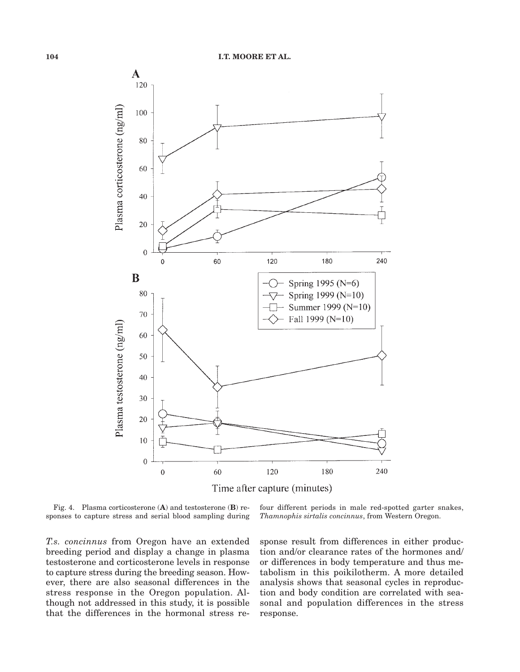

Fig. 4. Plasma corticosterone (**A**) and testosterone (**B**) responses to capture stress and serial blood sampling during

four different periods in male red-spotted garter snakes, *Thamnophis sirtalis concinnus*, from Western Oregon.

*T.s. concinnus* from Oregon have an extended breeding period and display a change in plasma testosterone and corticosterone levels in response to capture stress during the breeding season. However, there are also seasonal differences in the stress response in the Oregon population. Although not addressed in this study, it is possible that the differences in the hormonal stress response result from differences in either production and/or clearance rates of the hormones and/ or differences in body temperature and thus metabolism in this poikilotherm. A more detailed analysis shows that seasonal cycles in reproduction and body condition are correlated with seasonal and population differences in the stress response.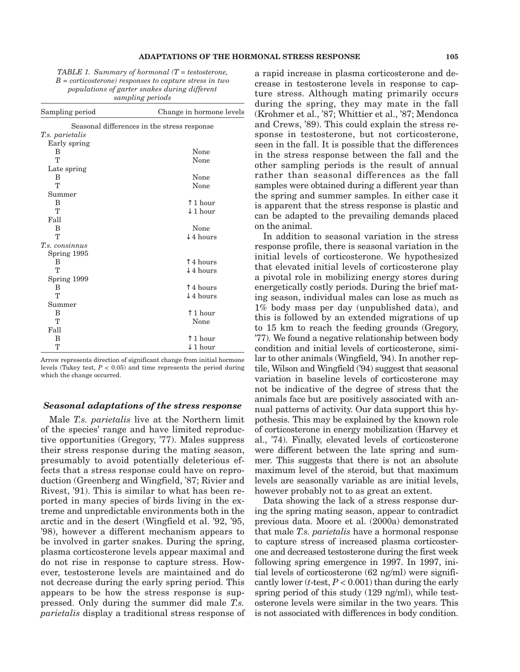*TABLE 1. Summary of hormonal (T = testosterone, B = corticosterone) responses to capture stress in two populations of garter snakes during different sampling periods*

| Sampling period | Change in hormone levels                    |
|-----------------|---------------------------------------------|
|                 | Seasonal differences in the stress response |
| T.s. parietalis |                                             |
| Early spring    |                                             |
| В               | None                                        |
| T               | None                                        |
| Late spring     |                                             |
| B               | None                                        |
| T               | None                                        |
| Summer          |                                             |
| B               | $\uparrow$ 1 hour                           |
| T               | $\downarrow$ 1 hour                         |
| Fall            |                                             |
| B               | None                                        |
| T               | $\downarrow$ 4 hours                        |
| T.s. consinnus  |                                             |
| Spring 1995     |                                             |
| В               | $\uparrow$ 4 hours                          |
| T               | $\downarrow$ 4 hours                        |
| Spring 1999     |                                             |
| B               | $\uparrow$ 4 hours                          |
| T               | $\downarrow$ 4 hours                        |
| Summer          |                                             |
| В               | $\uparrow$ 1 hour                           |
| T               | None                                        |
| Fall            |                                             |
| B               | ↑1 hour                                     |
| T               | $\downarrow$ 1 hour                         |
|                 |                                             |

Arrow represents direction of significant change from initial hormone levels (Tukey test,  $P < 0.05$ ) and time represents the period during which the change occurred.

## *Seasonal adaptations of the stress response*

Male *T.s. parietalis* live at the Northern limit of the species' range and have limited reproductive opportunities (Gregory, '77). Males suppress their stress response during the mating season, presumably to avoid potentially deleterious effects that a stress response could have on reproduction (Greenberg and Wingfield, '87; Rivier and Rivest, '91). This is similar to what has been reported in many species of birds living in the extreme and unpredictable environments both in the arctic and in the desert (Wingfield et al. '92, '95, '98), however a different mechanism appears to be involved in garter snakes. During the spring, plasma corticosterone levels appear maximal and do not rise in response to capture stress. However, testosterone levels are maintained and do not decrease during the early spring period. This appears to be how the stress response is suppressed. Only during the summer did male *T.s. parietalis* display a traditional stress response of

a rapid increase in plasma corticosterone and decrease in testosterone levels in response to capture stress. Although mating primarily occurs during the spring, they may mate in the fall (Krohmer et al., '87; Whittier et al., '87; Mendonca and Crews, '89). This could explain the stress response in testosterone, but not corticosterone, seen in the fall. It is possible that the differences in the stress response between the fall and the other sampling periods is the result of annual rather than seasonal differences as the fall samples were obtained during a different year than the spring and summer samples. In either case it is apparent that the stress response is plastic and can be adapted to the prevailing demands placed on the animal.

In addition to seasonal variation in the stress response profile, there is seasonal variation in the initial levels of corticosterone. We hypothesized that elevated initial levels of corticosterone play a pivotal role in mobilizing energy stores during energetically costly periods. During the brief mating season, individual males can lose as much as 1% body mass per day (unpublished data), and this is followed by an extended migrations of up to 15 km to reach the feeding grounds (Gregory, '77). We found a negative relationship between body condition and initial levels of corticosterone, similar to other animals (Wingfield, '94). In another reptile, Wilson and Wingfield ('94) suggest that seasonal variation in baseline levels of corticosterone may not be indicative of the degree of stress that the animals face but are positively associated with annual patterns of activity. Our data support this hypothesis. This may be explained by the known role of corticosterone in energy mobilization (Harvey et al., '74). Finally, elevated levels of corticosterone were different between the late spring and summer. This suggests that there is not an absolute maximum level of the steroid, but that maximum levels are seasonally variable as are initial levels, however probably not to as great an extent.

Data showing the lack of a stress response during the spring mating season, appear to contradict previous data. Moore et al. (2000a) demonstrated that male *T.s. parietalis* have a hormonal response to capture stress of increased plasma corticosterone and decreased testosterone during the first week following spring emergence in 1997. In 1997, initial levels of corticosterone (62 ng/ml) were significantly lower (*t*-test, *P <* 0.001) than during the early spring period of this study (129 ng/ml), while testosterone levels were similar in the two years. This is not associated with differences in body condition.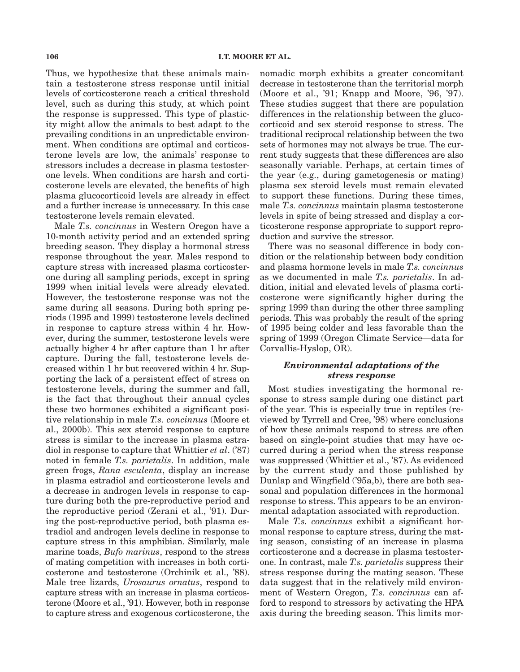Thus, we hypothesize that these animals maintain a testosterone stress response until initial levels of corticosterone reach a critical threshold level, such as during this study, at which point the response is suppressed. This type of plasticity might allow the animals to best adapt to the prevailing conditions in an unpredictable environment. When conditions are optimal and corticosterone levels are low, the animals' response to stressors includes a decrease in plasma testosterone levels. When conditions are harsh and corticosterone levels are elevated, the benefits of high plasma glucocorticoid levels are already in effect and a further increase is unnecessary. In this case testosterone levels remain elevated.

Male *T.s. concinnus* in Western Oregon have a 10-month activity period and an extended spring breeding season. They display a hormonal stress response throughout the year. Males respond to capture stress with increased plasma corticosterone during all sampling periods, except in spring 1999 when initial levels were already elevated. However, the testosterone response was not the same during all seasons. During both spring periods (1995 and 1999) testosterone levels declined in response to capture stress within 4 hr. However, during the summer, testosterone levels were actually higher 4 hr after capture than 1 hr after capture. During the fall, testosterone levels decreased within 1 hr but recovered within 4 hr. Supporting the lack of a persistent effect of stress on testosterone levels, during the summer and fall, is the fact that throughout their annual cycles these two hormones exhibited a significant positive relationship in male *T.s. concinnus* (Moore et al., 2000b). This sex steroid response to capture stress is similar to the increase in plasma estradiol in response to capture that Whittier *et al*. ('87) noted in female *T.s. parietalis*. In addition, male green frogs, *Rana esculenta*, display an increase in plasma estradiol and corticosterone levels and a decrease in androgen levels in response to capture during both the pre-reproductive period and the reproductive period (Zerani et al., '91). During the post-reproductive period, both plasma estradiol and androgen levels decline in response to capture stress in this amphibian. Similarly, male marine toads, *Bufo marinus*, respond to the stress of mating competition with increases in both corticosterone and testosterone (Orchinik et al., '88). Male tree lizards, *Urosaurus ornatus*, respond to capture stress with an increase in plasma corticosterone (Moore et al., '91). However, both in response to capture stress and exogenous corticosterone, the nomadic morph exhibits a greater concomitant decrease in testosterone than the territorial morph (Moore et al., '91; Knapp and Moore, '96, '97). These studies suggest that there are population differences in the relationship between the glucocorticoid and sex steroid response to stress. The traditional reciprocal relationship between the two sets of hormones may not always be true. The current study suggests that these differences are also seasonally variable. Perhaps, at certain times of the year (e.g., during gametogenesis or mating) plasma sex steroid levels must remain elevated to support these functions. During these times, male *T.s. concinnus* maintain plasma testosterone levels in spite of being stressed and display a corticosterone response appropriate to support reproduction and survive the stressor.

There was no seasonal difference in body condition or the relationship between body condition and plasma hormone levels in male *T.s. concinnus* as we documented in male *T.s. parietalis*. In addition, initial and elevated levels of plasma corticosterone were significantly higher during the spring 1999 than during the other three sampling periods. This was probably the result of the spring of 1995 being colder and less favorable than the spring of 1999 (Oregon Climate Service—data for Corvallis-Hyslop, OR).

# *Environmental adaptations of the stress response*

Most studies investigating the hormonal response to stress sample during one distinct part of the year. This is especially true in reptiles (reviewed by Tyrrell and Cree, '98) where conclusions of how these animals respond to stress are often based on single-point studies that may have occurred during a period when the stress response was suppressed (Whittier et al., '87). As evidenced by the current study and those published by Dunlap and Wingfield ('95a,b), there are both seasonal and population differences in the hormonal response to stress. This appears to be an environmental adaptation associated with reproduction.

Male *T.s. concinnus* exhibit a significant hormonal response to capture stress, during the mating season, consisting of an increase in plasma corticosterone and a decrease in plasma testosterone. In contrast, male *T.s. parietalis* suppress their stress response during the mating season. These data suggest that in the relatively mild environment of Western Oregon, *T.s. concinnus* can afford to respond to stressors by activating the HPA axis during the breeding season. This limits mor-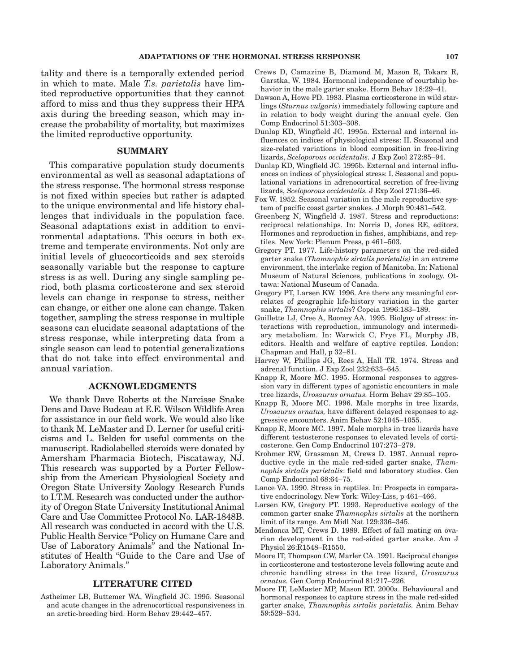tality and there is a temporally extended period in which to mate. Male *T.s. parietalis* have limited reproductive opportunities that they cannot afford to miss and thus they suppress their HPA axis during the breeding season, which may increase the probability of mortality, but maximizes the limited reproductive opportunity.

## **SUMMARY**

This comparative population study documents environmental as well as seasonal adaptations of the stress response. The hormonal stress response is not fixed within species but rather is adapted to the unique environmental and life history challenges that individuals in the population face. Seasonal adaptations exist in addition to environmental adaptations. This occurs in both extreme and temperate environments. Not only are initial levels of glucocorticoids and sex steroids seasonally variable but the response to capture stress is as well. During any single sampling period, both plasma corticosterone and sex steroid levels can change in response to stress, neither can change, or either one alone can change. Taken together, sampling the stress response in multiple seasons can elucidate seasonal adaptations of the stress response, while interpreting data from a single season can lead to potential generalizations that do not take into effect environmental and annual variation.

### **ACKNOWLEDGMENTS**

We thank Dave Roberts at the Narcisse Snake Dens and Dave Budeau at E.E. Wilson Wildlife Area for assistance in our field work. We would also like to thank M. LeMaster and D. Lerner for useful criticisms and L. Belden for useful comments on the manuscript. Radiolabelled steroids were donated by Amersham Pharmacia Biotech, Piscataway, NJ. This research was supported by a Porter Fellowship from the American Physiological Society and Oregon State University Zoology Research Funds to I.T.M. Research was conducted under the authority of Oregon State University Institutional Animal Care and Use Committee Protocol No. LAR-1848B. All research was conducted in accord with the U.S. Public Health Service "Policy on Humane Care and Use of Laboratory Animals" and the National Institutes of Health "Guide to the Care and Use of Laboratory Animals."

#### **LITERATURE CITED**

Astheimer LB, Buttemer WA, Wingfield JC. 1995. Seasonal and acute changes in the adrenocorticoal responsiveness in an arctic-breeding bird. Horm Behav 29:442–457.

- Crews D, Camazine B, Diamond M, Mason R, Tokarz R, Garstka, W. 1984. Hormonal independence of courtship behavior in the male garter snake. Horm Behav 18:29–41.
- Dawson A, Howe PD. 1983. Plasma corticosterone in wild starlings (*Sturnus vulgaris*) immediately following capture and in relation to body weight during the annual cycle. Gen Comp Endocrinol 51:303–308.
- Dunlap KD, Wingfield JC. 1995a. External and internal influences on indices of physiological stress: II. Seasonal and size-related variations in blood composition in free-living lizards, *Sceloporous occidentalis.* J Exp Zool 272:85–94.
- Dunlap KD, Wingfield JC. 1995b. External and internal influences on indices of physiological stress: I. Seasonal and populational variations in adrenocortical secretion of free-living lizards, *Sceloporous occidentalis.* J Exp Zool 271:36–46.
- Fox W. 1952. Seasonal variation in the male reproductive system of pacific coast garter snakes. J Morph 90:481–542.
- Greenberg N, Wingfield J. 1987. Stress and reproductions: reciprocal relationships. In: Norris D, Jones RE, editors. Hormones and reproduction in fishes, amphibians, and reptiles. New York: Plenum Press, p 461–503.
- Gregory PT. 1977. Life-history parameters on the red-sided garter snake (*Thamnophis sirtalis parietalis)* in an extreme environment, the interlake region of Manitoba. In: National Museum of Natural Sciences, publications in zoology. Ottawa: National Museum of Canada.
- Gregory PT, Larsen KW. 1996. Are there any meaningful correlates of geographic life-history variation in the garter snake, *Thamnophis sirtalis*? Copeia 1996:183–189.
- Guillette LJ, Cree A, Rooney AA. 1995. Biolgoy of stress: interactions with reproduction, immunology and intermediary metabolism. In: Warwick C, Frye FL, Murphy JB, editors. Health and welfare of captive reptiles. London: Chapman and Hall, p 32–81.
- Harvey W, Phillips JG, Rees A, Hall TR. 1974. Stress and adrenal function. J Exp Zool 232:633–645.
- Knapp R, Moore MC. 1995. Hormonal responses to aggression vary in different types of agonistic encounters in male tree lizards, *Urosaurus ornatus.* Horm Behav 29:85–105.
- Knapp R, Moore MC. 1996. Male morphs in tree lizards, *Urosaurus ornatus,* have different delayed responses to aggressive encounters. Anim Behav 52:1045–1055.
- Knapp R, Moore MC. 1997. Male morphs in tree lizards have different testosterone responses to elevated levels of corticosterone. Gen Comp Endocrinol 107:273–279.
- Krohmer RW, Grassman M, Crews D. 1987. Annual reproductive cycle in the male red-sided garter snake, *Thamnophis sirtalis parietalis*: field and laboratory studies. Gen Comp Endocrinol 68:64–75.
- Lance VA. 1990. Stress in reptiles. In: Prospects in comparative endocrinology. New York: Wiley-Liss, p 461–466.
- Larsen KW, Gregory PT. 1993. Reproductive ecology of the common garter snake *Thamnophis sirtalis* at the northern limit of its range. Am Midl Nat 129:336–345.
- Mendonca MT, Crews D. 1989. Effect of fall mating on ovarian development in the red-sided garter snake. Am J Physiol 26:R1548–R1550.
- Moore IT, Thompson CW, Marler CA. 1991. Reciprocal changes in corticosterone and testosterone levels following acute and chronic handling stress in the tree lizard, *Urosaurus ornatus.* Gen Comp Endocrinol 81:217–226.
- Moore IT, LeMaster MP, Mason RT. 2000a. Behavioural and hormonal responses to capture stress in the male red-sided garter snake, *Thamnophis sirtalis parietalis.* Anim Behav 59:529–534.